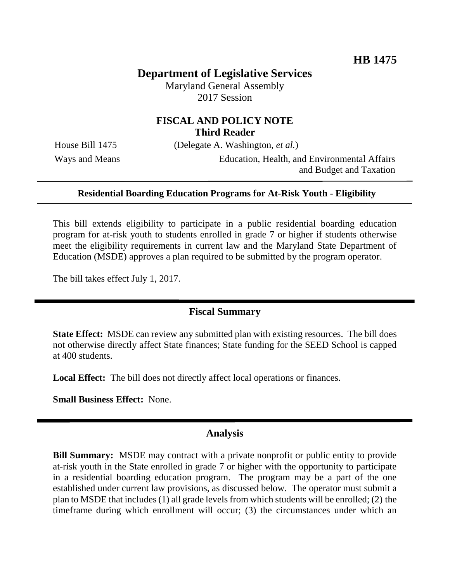# **Department of Legislative Services**

Maryland General Assembly 2017 Session

# **FISCAL AND POLICY NOTE Third Reader**

House Bill 1475 (Delegate A. Washington, *et al.*)

Ways and Means Education, Health, and Environmental Affairs and Budget and Taxation

### **Residential Boarding Education Programs for At-Risk Youth - Eligibility**

This bill extends eligibility to participate in a public residential boarding education program for at-risk youth to students enrolled in grade 7 or higher if students otherwise meet the eligibility requirements in current law and the Maryland State Department of Education (MSDE) approves a plan required to be submitted by the program operator.

The bill takes effect July 1, 2017.

### **Fiscal Summary**

**State Effect:** MSDE can review any submitted plan with existing resources. The bill does not otherwise directly affect State finances; State funding for the SEED School is capped at 400 students.

**Local Effect:** The bill does not directly affect local operations or finances.

**Small Business Effect:** None.

### **Analysis**

**Bill Summary:** MSDE may contract with a private nonprofit or public entity to provide at-risk youth in the State enrolled in grade 7 or higher with the opportunity to participate in a residential boarding education program. The program may be a part of the one established under current law provisions, as discussed below. The operator must submit a plan to MSDE that includes (1) all grade levels from which students will be enrolled; (2) the timeframe during which enrollment will occur; (3) the circumstances under which an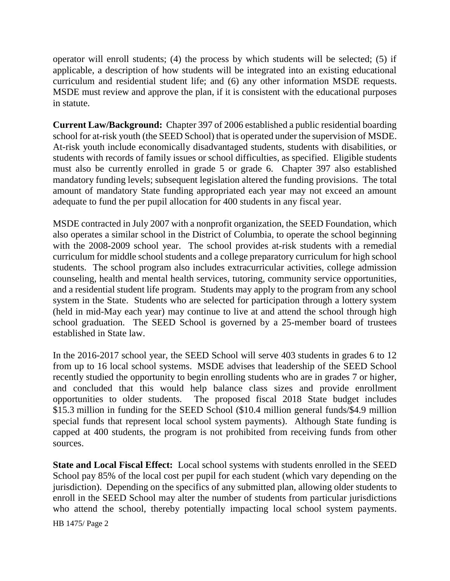operator will enroll students; (4) the process by which students will be selected; (5) if applicable, a description of how students will be integrated into an existing educational curriculum and residential student life; and (6) any other information MSDE requests. MSDE must review and approve the plan, if it is consistent with the educational purposes in statute.

**Current Law/Background:** Chapter 397 of 2006 established a public residential boarding school for at-risk youth (the SEED School) that is operated under the supervision of MSDE. At-risk youth include economically disadvantaged students, students with disabilities, or students with records of family issues or school difficulties, as specified. Eligible students must also be currently enrolled in grade 5 or grade 6. Chapter 397 also established mandatory funding levels; subsequent legislation altered the funding provisions. The total amount of mandatory State funding appropriated each year may not exceed an amount adequate to fund the per pupil allocation for 400 students in any fiscal year.

MSDE contracted in July 2007 with a nonprofit organization, the SEED Foundation, which also operates a similar school in the District of Columbia, to operate the school beginning with the 2008-2009 school year. The school provides at-risk students with a remedial curriculum for middle school students and a college preparatory curriculum for high school students. The school program also includes extracurricular activities, college admission counseling, health and mental health services, tutoring, community service opportunities, and a residential student life program. Students may apply to the program from any school system in the State. Students who are selected for participation through a lottery system (held in mid-May each year) may continue to live at and attend the school through high school graduation. The SEED School is governed by a 25-member board of trustees established in State law.

In the 2016-2017 school year, the SEED School will serve 403 students in grades 6 to 12 from up to 16 local school systems. MSDE advises that leadership of the SEED School recently studied the opportunity to begin enrolling students who are in grades 7 or higher, and concluded that this would help balance class sizes and provide enrollment opportunities to older students. The proposed fiscal 2018 State budget includes \$15.3 million in funding for the SEED School (\$10.4 million general funds/\$4.9 million special funds that represent local school system payments). Although State funding is capped at 400 students, the program is not prohibited from receiving funds from other sources.

**State and Local Fiscal Effect:** Local school systems with students enrolled in the SEED School pay 85% of the local cost per pupil for each student (which vary depending on the jurisdiction). Depending on the specifics of any submitted plan, allowing older students to enroll in the SEED School may alter the number of students from particular jurisdictions who attend the school, thereby potentially impacting local school system payments.

HB 1475/ Page 2